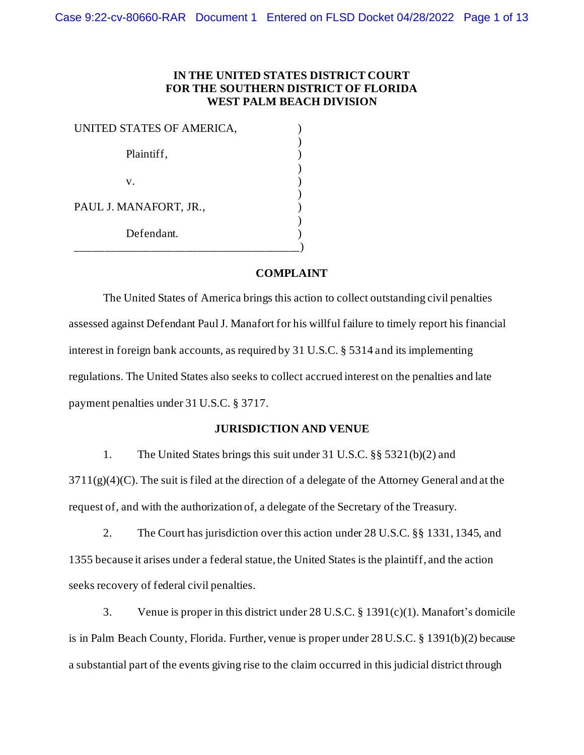## **IN THE UNITED STATES DISTRICT COURT FOR THE SOUTHERN DISTRICT OF FLORIDA WEST PALM BEACH DIVISION**

| UNITED STATES OF AMERICA, |  |
|---------------------------|--|
| Plaintiff,                |  |
| V.                        |  |
| PAUL J. MANAFORT, JR.,    |  |
| Defendant.                |  |

## **COMPLAINT**

The United States of America brings this action to collect outstanding civil penalties assessed against Defendant Paul J. Manafort for his willful failure to timely report his financial interest in foreign bank accounts, as required by 31 U.S.C. § 5314 and its implementing regulations. The United States also seeks to collect accrued interest on the penalties and late payment penalties under 31 U.S.C. § 3717.

#### **JURISDICTION AND VENUE**

1. The United States brings this suit under 31 U.S.C. §§ 5321(b)(2) and

 $3711(g)(4)(C)$ . The suit is filed at the direction of a delegate of the Attorney General and at the request of, and with the authorization of, a delegate of the Secretary of the Treasury.

2. The Court has jurisdiction over this action under 28 U.S.C. §§ 1331, 1345, and 1355 because it arises under a federal statue, the United States is the plaintiff, and the action seeks recovery of federal civil penalties.

3. Venue is proper in this district under 28 U.S.C. § 1391(c)(1). Manafort's domicile is in Palm Beach County, Florida. Further, venue is proper under 28 U.S.C. § 1391(b)(2) because a substantial part of the events giving rise to the claim occurred in this judicial district through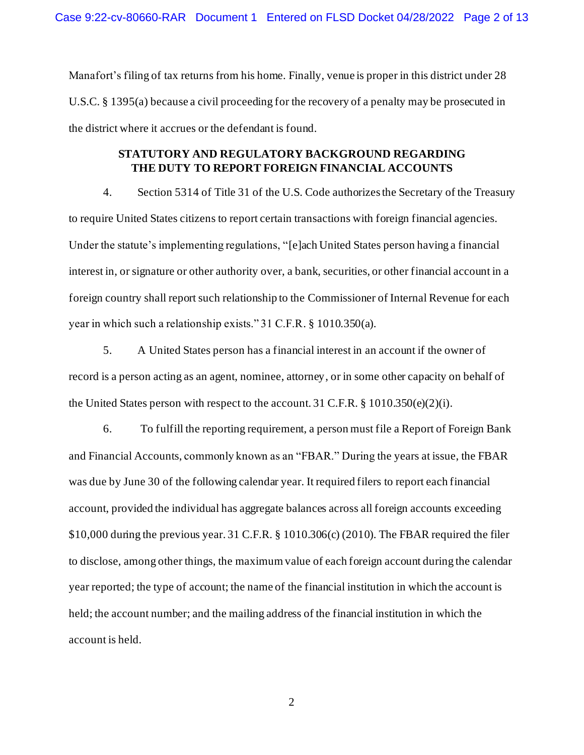Manafort's filing of tax returns from his home. Finally, venue is proper in this district under 28 U.S.C. § 1395(a) because a civil proceeding for the recovery of a penalty may be prosecuted in the district where it accrues or the defendant is found.

## **STATUTORY AND REGULATORY BACKGROUND REGARDING THE DUTY TO REPORT FOREIGN FINANCIAL ACCOUNTS**

4. Section 5314 of Title 31 of the U.S. Code authorizes the Secretary of the Treasury to require United States citizens to report certain transactions with foreign financial agencies. Under the statute's implementing regulations, "[e]ach United States person having a financial interest in, or signature or other authority over, a bank, securities, or other financial account in a foreign country shall report such relationship to the Commissioner of Internal Revenue for each year in which such a relationship exists." 31 C.F.R. § 1010.350(a).

5. A United States person has a financial interest in an account if the owner of record is a person acting as an agent, nominee, attorney, or in some other capacity on behalf of the United States person with respect to the account. 31 C.F.R.  $\S 1010.350(e)(2)(i)$ .

6. To fulfill the reporting requirement, a person must file a Report of Foreign Bank and Financial Accounts, commonly known as an "FBAR." During the years at issue, the FBAR was due by June 30 of the following calendar year. It required filers to report each financial account, provided the individual has aggregate balances across all foreign accounts exceeding \$10,000 during the previous year. 31 C.F.R. § 1010.306(c) (2010). The FBAR required the filer to disclose, among other things, the maximum value of each foreign account during the calendar year reported; the type of account; the name of the financial institution in which the account is held; the account number; and the mailing address of the financial institution in which the account is held.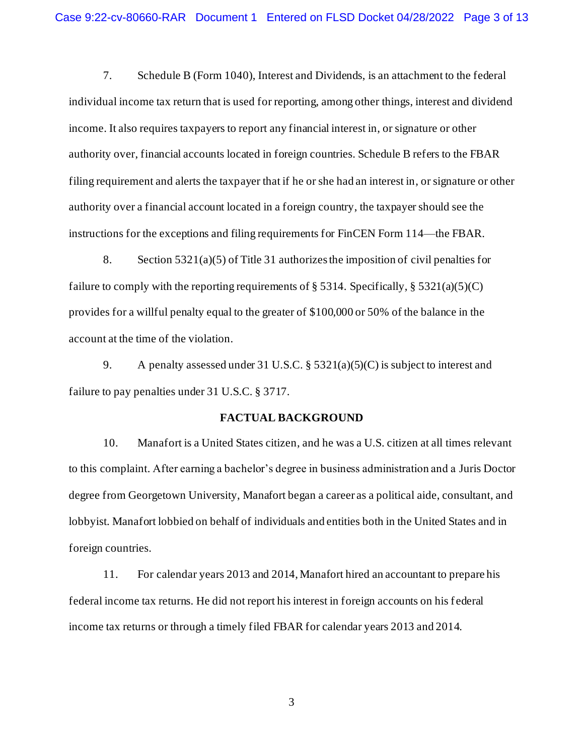7. Schedule B (Form 1040), Interest and Dividends, is an attachment to the federal individual income tax return that is used for reporting, among other things, interest and dividend income. It also requires taxpayers to report any financial interest in, or signature or other authority over, financial accounts located in foreign countries. Schedule B refers to the FBAR filing requirement and alerts the taxpayer that if he or she had an interest in, or signature or other authority over a financial account located in a foreign country, the taxpayer should see the instructions for the exceptions and filing requirements for FinCEN Form 114—the FBAR.

8. Section 5321(a)(5) of Title 31 authorizes the imposition of civil penalties for failure to comply with the reporting requirements of  $\S$  5314. Specifically,  $\S$  5321(a)(5)(C) provides for a willful penalty equal to the greater of \$100,000 or 50% of the balance in the account at the time of the violation.

9. A penalty assessed under 31 U.S.C. § 5321(a)(5)(C) is subject to interest and failure to pay penalties under 31 U.S.C. § 3717.

#### **FACTUAL BACKGROUND**

10. Manafort is a United States citizen, and he was a U.S. citizen at all times relevant to this complaint. After earning a bachelor's degree in business administration and a Juris Doctor degree from Georgetown University, Manafort began a career as a political aide, consultant, and lobbyist. Manafort lobbied on behalf of individuals and entities both in the United States and in foreign countries.

11. For calendar years 2013 and 2014, Manafort hired an accountant to prepare his federal income tax returns. He did not report his interest in foreign accounts on his federal income tax returns or through a timely filed FBAR for calendar years 2013 and 2014.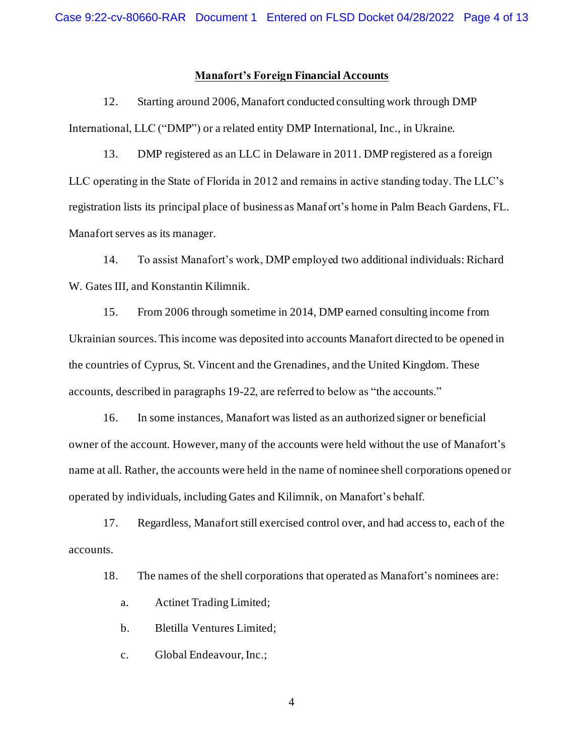#### **Manafort's Foreign Financial Accounts**

12. Starting around 2006, Manafort conducted consulting work through DMP International, LLC ("DMP") or a related entity DMP International, Inc., in Ukraine.

13. DMP registered as an LLC in Delaware in 2011. DMP registered as a foreign LLC operating in the State of Florida in 2012 and remains in active standing today. The LLC's registration lists its principal place of business as Manafort's home in Palm Beach Gardens, FL. Manafort serves as its manager.

14. To assist Manafort's work, DMP employed two additional individuals: Richard W. Gates III, and Konstantin Kilimnik.

15. From 2006 through sometime in 2014, DMP earned consulting income from Ukrainian sources. This income was deposited into accounts Manafort directed to be opened in the countries of Cyprus, St. Vincent and the Grenadines, and the United Kingdom. These accounts, described in paragraph[s 19](#page-4-0)-22, are referred to below as "the accounts."

16. In some instances, Manafort was listed as an authorized signer or beneficial owner of the account. However, many of the accounts were held without the use of Manafort's name at all. Rather, the accounts were held in the name of nominee shell corporations opened or operated by individuals, including Gates and Kilimnik, on Manafort's behalf.

17. Regardless, Manafort still exercised control over, and had access to, each of the accounts.

18. The names of the shell corporations that operated as Manafort's nominees are:

- a. Actinet Trading Limited;
- b. Bletilla Ventures Limited;
- c. Global Endeavour, Inc.;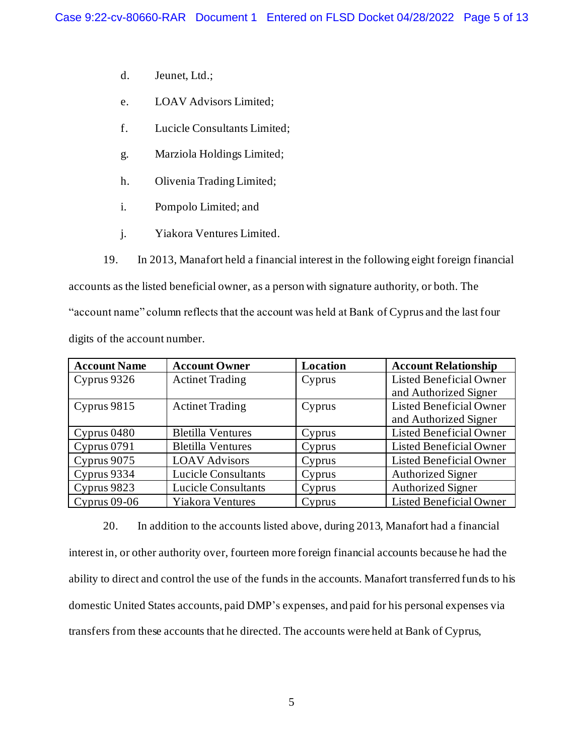- d. Jeunet, Ltd.;
- e. LOAV Advisors Limited;
- f. Lucicle Consultants Limited;
- g. Marziola Holdings Limited;
- h. Olivenia Trading Limited;
- i. Pompolo Limited; and
- j. Yiakora Ventures Limited.
- 19. In 2013, Manafort held a financial interest in the following eight foreign financial

<span id="page-4-0"></span>accounts as the listed beneficial owner, as a person with signature authority, or both. The "account name" column reflects that the account was held at Bank of Cyprus and the last four digits of the account number.

| <b>Account Name</b> | <b>Account Owner</b>       | Location | <b>Account Relationship</b>    |
|---------------------|----------------------------|----------|--------------------------------|
| Cyprus 9326         | <b>Actinet Trading</b>     | Cyprus   | <b>Listed Beneficial Owner</b> |
|                     |                            |          | and Authorized Signer          |
| Cyprus 9815         | <b>Actinet Trading</b>     | Cyprus   | <b>Listed Beneficial Owner</b> |
|                     |                            |          | and Authorized Signer          |
| Cyprus 0480         | <b>Bletilla Ventures</b>   | Cyprus   | <b>Listed Beneficial Owner</b> |
| Cyprus 0791         | <b>Bletilla Ventures</b>   | Cyprus   | <b>Listed Beneficial Owner</b> |
| Cyprus 9075         | <b>LOAV Advisors</b>       | Cyprus   | <b>Listed Beneficial Owner</b> |
| Cyprus 9334         | <b>Lucicle Consultants</b> | Cyprus   | <b>Authorized Signer</b>       |
| Cyprus 9823         | <b>Lucicle Consultants</b> | Cyprus   | <b>Authorized Signer</b>       |
| Cyprus $09-06$      | <b>Yiakora Ventures</b>    | Cyprus   | <b>Listed Beneficial Owner</b> |

<span id="page-4-1"></span>20. In addition to the accounts listed above, during 2013, Manafort had a financial interest in, or other authority over, fourteen more foreign financial accounts because he had the ability to direct and control the use of the funds in the accounts. Manafort transferred funds to his domestic United States accounts, paid DMP's expenses, and paid for his personal expenses via transfers from these accounts that he directed. The accounts were held at Bank of Cyprus,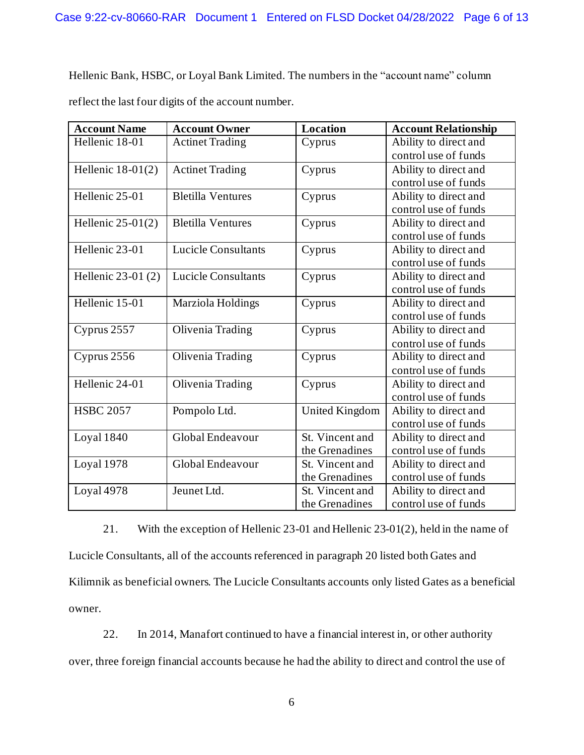Hellenic Bank, HSBC, or Loyal Bank Limited. The numbers in the "account name" column reflect the last four digits of the account number.

| <b>Account Name</b> | <b>Account Owner</b>       | Location              | <b>Account Relationship</b> |
|---------------------|----------------------------|-----------------------|-----------------------------|
| Hellenic 18-01      | <b>Actinet Trading</b>     | Cyprus                | Ability to direct and       |
|                     |                            |                       | control use of funds        |
| Hellenic $18-01(2)$ | <b>Actinet Trading</b>     | Cyprus                | Ability to direct and       |
|                     |                            |                       | control use of funds        |
| Hellenic 25-01      | <b>Bletilla Ventures</b>   | Cyprus                | Ability to direct and       |
|                     |                            |                       | control use of funds        |
| Hellenic $25-01(2)$ | <b>Bletilla Ventures</b>   | Cyprus                | Ability to direct and       |
|                     |                            |                       | control use of funds        |
| Hellenic 23-01      | <b>Lucicle Consultants</b> | Cyprus                | Ability to direct and       |
|                     |                            |                       | control use of funds        |
| Hellenic 23-01 (2)  | <b>Lucicle Consultants</b> | Cyprus                | Ability to direct and       |
|                     |                            |                       | control use of funds        |
| Hellenic $15-01$    | Marziola Holdings          | Cyprus                | Ability to direct and       |
|                     |                            |                       | control use of funds        |
| Cyprus 2557         | <b>Olivenia Trading</b>    | Cyprus                | Ability to direct and       |
|                     |                            |                       | control use of funds        |
| Cyprus 2556         | Olivenia Trading           | Cyprus                | Ability to direct and       |
|                     |                            |                       | control use of funds        |
| Hellenic 24-01      | Olivenia Trading           | Cyprus                | Ability to direct and       |
|                     |                            |                       | control use of funds        |
| <b>HSBC 2057</b>    | Pompolo Ltd.               | <b>United Kingdom</b> | Ability to direct and       |
|                     |                            |                       | control use of funds        |
| Loyal 1840          | Global Endeavour           | St. Vincent and       | Ability to direct and       |
|                     |                            | the Grenadines        | control use of funds        |
| Loyal 1978          | Global Endeavour           | St. Vincent and       | Ability to direct and       |
|                     |                            | the Grenadines        | control use of funds        |
| Loyal 4978          | Jeunet Ltd.                | St. Vincent and       | Ability to direct and       |
|                     |                            | the Grenadines        | control use of funds        |

21. With the exception of Hellenic 23-01 and Hellenic 23-01(2), held in the name of Lucicle Consultants, all of the accounts referenced in paragraph 20 listed both Gates and Kilimnik as beneficial owners. The Lucicle Consultants accounts only listed Gates as a beneficial owner.

22. In 2014, Manafort continued to have a financial interest in, or other authority over, three foreign financial accounts because he had the ability to direct and control the use of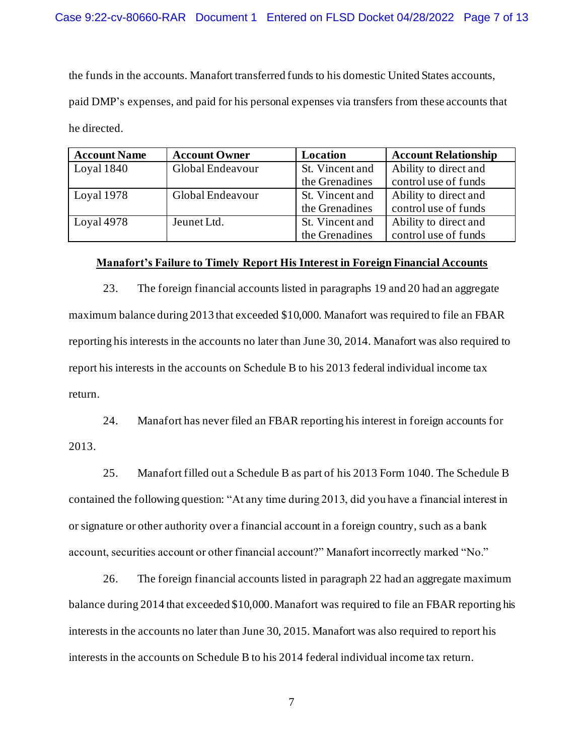the funds in the accounts. Manafort transferred funds to his domestic United States accounts, paid DMP's expenses, and paid for his personal expenses via transfers from these accounts that he directed.

| <b>Account Name</b> | <b>Account Owner</b> | Location        | <b>Account Relationship</b> |
|---------------------|----------------------|-----------------|-----------------------------|
| Loyal $1840$        | Global Endeavour     | St. Vincent and | Ability to direct and       |
|                     |                      | the Grenadines  | control use of funds        |
| Loyal 1978          | Global Endeavour     | St. Vincent and | Ability to direct and       |
|                     |                      | the Grenadines  | control use of funds        |
| Loyal $4978$        | Jeunet Ltd.          | St. Vincent and | Ability to direct and       |
|                     |                      | the Grenadines  | control use of funds        |

#### **Manafort's Failure to Timely Report His Interest in Foreign Financial Accounts**

23. The foreign financial accounts listed in paragraph[s 19](#page-4-0) an[d 20](#page-4-1) had an aggregate maximum balance during 2013 that exceeded \$10,000. Manafort was required to file an FBAR reporting his interests in the accounts no later than June 30, 2014. Manafort was also required to report his interests in the accounts on Schedule B to his 2013 federal individual income tax return.

24. Manafort has never filed an FBAR reporting his interest in foreign accounts for 2013.

25. Manafort filled out a Schedule B as part of his 2013 Form 1040. The Schedule B contained the following question: "At any time during 2013, did you have a financial interest in or signature or other authority over a financial account in a foreign country, such as a bank account, securities account or other financial account?" Manafort incorrectly marked "No."

26. The foreign financial accounts listed in paragraph 22 had an aggregate maximum balance during 2014 that exceeded \$10,000. Manafort was required to file an FBAR reporting his interests in the accounts no later than June 30, 2015. Manafort was also required to report his interests in the accounts on Schedule B to his 2014 federal individual income tax return.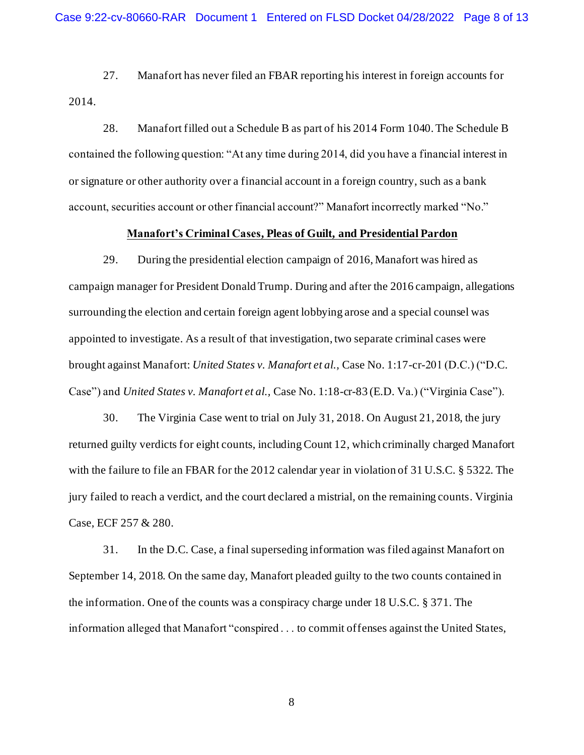27. Manafort has never filed an FBAR reporting his interest in foreign accounts for 2014.

28. Manafort filled out a Schedule B as part of his 2014 Form 1040. The Schedule B contained the following question: "At any time during 2014, did you have a financial interest in or signature or other authority over a financial account in a foreign country, such as a bank account, securities account or other financial account?" Manafort incorrectly marked "No."

#### **Manafort's Criminal Cases, Pleas of Guilt, and Presidential Pardon**

29. During the presidential election campaign of 2016, Manafort was hired as campaign manager for President Donald Trump. During and after the 2016 campaign, allegations surrounding the election and certain foreign agent lobbying arose and a special counsel was appointed to investigate. As a result of that investigation, two separate criminal cases were brought against Manafort: *United States v. Manafort et al.,* Case No. 1:17-cr-201 (D.C.) ("D.C. Case") and *United States v. Manafort et al.,* Case No. 1:18-cr-83 (E.D. Va.) ("Virginia Case").

30. The Virginia Case went to trial on July 31, 2018. On August 21, 2018, the jury returned guilty verdicts for eight counts, including Count 12, which criminally charged Manafort with the failure to file an FBAR for the 2012 calendar year in violation of 31 U.S.C. § 5322. The jury failed to reach a verdict, and the court declared a mistrial, on the remaining counts. Virginia Case, ECF 257 & 280.

31. In the D.C. Case, a final superseding information was filed against Manafort on September 14, 2018. On the same day, Manafort pleaded guilty to the two counts contained in the information. One of the counts was a conspiracy charge under 18 U.S.C. § 371. The information alleged that Manafort "conspired . . . to commit offenses against the United States,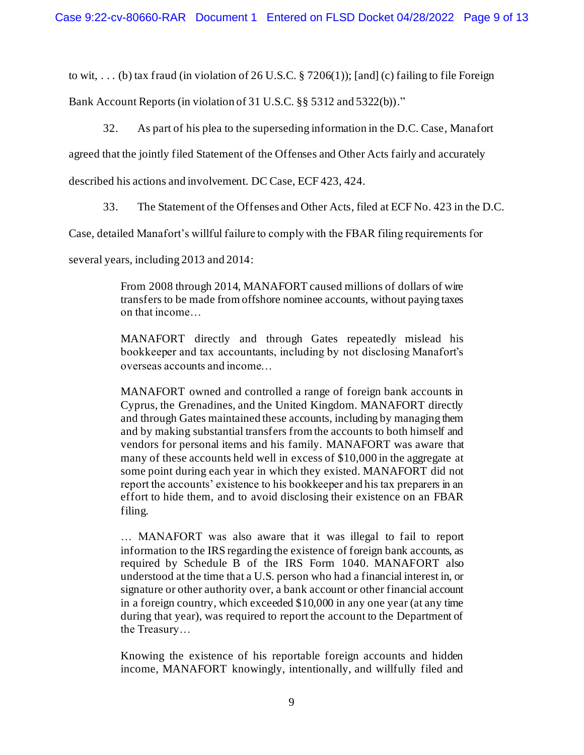to wit, ... (b) tax fraud (in violation of 26 U.S.C.  $\S 7206(1)$ ); [and] (c) failing to file Foreign

Bank Account Reports (in violation of 31 U.S.C. §§ 5312 and 5322(b))."

32. As part of his plea to the superseding information in the D.C. Case, Manafort

agreed that the jointly filed Statement of the Offenses and Other Acts fairly and accurately

described his actions and involvement. DC Case, ECF 423, 424.

33. The Statement of the Offenses and Other Acts, filed at ECF No. 423 in the D.C.

Case, detailed Manafort's willful failure to comply with the FBAR filing requirements for

several years, including 2013 and 2014:

From 2008 through 2014, MANAFORT caused millions of dollars of wire transfers to be made from offshore nominee accounts, without paying taxes on that income…

MANAFORT directly and through Gates repeatedly mislead his bookkeeper and tax accountants, including by not disclosing Manafort's overseas accounts and income…

MANAFORT owned and controlled a range of foreign bank accounts in Cyprus, the Grenadines, and the United Kingdom. MANAFORT directly and through Gates maintained these accounts, including by managing them and by making substantial transfers from the accounts to both himself and vendors for personal items and his family. MANAFORT was aware that many of these accounts held well in excess of \$10,000 in the aggregate at some point during each year in which they existed. MANAFORT did not report the accounts' existence to his bookkeeper and his tax preparers in an effort to hide them, and to avoid disclosing their existence on an FBAR filing.

… MANAFORT was also aware that it was illegal to fail to report information to the IRS regarding the existence of foreign bank accounts, as required by Schedule B of the IRS Form 1040. MANAFORT also understood at the time that a U.S. person who had a financial interest in, or signature or other authority over, a bank account or other financial account in a foreign country, which exceeded \$10,000 in any one year (at any time during that year), was required to report the account to the Department of the Treasury…

Knowing the existence of his reportable foreign accounts and hidden income, MANAFORT knowingly, intentionally, and willfully filed and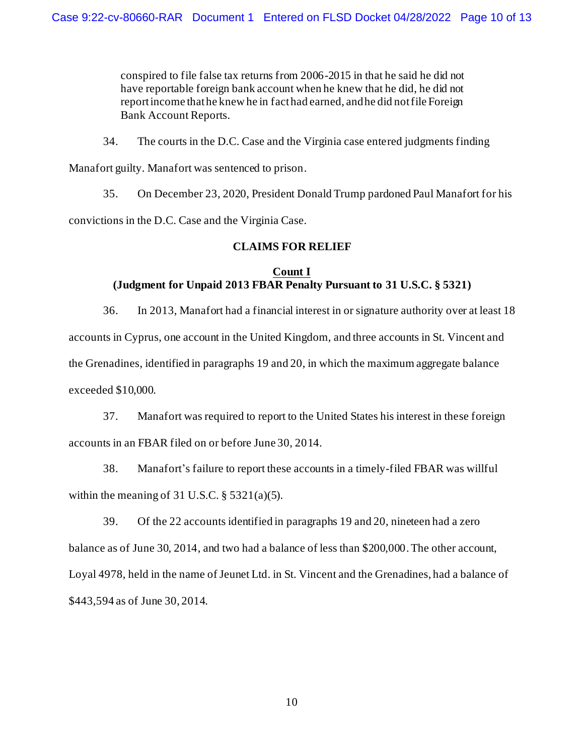conspired to file false tax returns from 2006-2015 in that he said he did not have reportable foreign bank account when he knew that he did, he did not report income that he knew he in fact had earned, and he did not file Foreign Bank Account Reports.

34. The courts in the D.C. Case and the Virginia case entered judgments finding Manafort guilty. Manafort was sentenced to prison.

35. On December 23, 2020, President Donald Trump pardoned Paul Manafort for his convictions in the D.C. Case and the Virginia Case.

# **CLAIMS FOR RELIEF**

# **Count I (Judgment for Unpaid 2013 FBAR Penalty Pursuant to 31 U.S.C. § 5321)**

36. In 2013, Manafort had a financial interest in or signature authority over at least 18 accounts in Cyprus, one account in the United Kingdom, and three accounts in St. Vincent and the Grenadines, identified in paragraphs [19](#page-4-0) an[d 20](#page-4-1), in which the maximum aggregate balance exceeded \$10,000.

37. Manafort was required to report to the United States his interest in these foreign accounts in an FBAR filed on or before June 30, 2014.

38. Manafort's failure to report these accounts in a timely-filed FBAR was willful within the meaning of 31 U.S.C.  $\S$  5321(a)(5).

39. Of the 22 accounts identified in paragraphs [19](#page-4-0) an[d 20](#page-4-1), nineteen had a zero balance as of June 30, 2014, and two had a balance of less than \$200,000. The other account, Loyal 4978, held in the name of Jeunet Ltd. in St. Vincent and the Grenadines, had a balance of \$443,594 as of June 30, 2014.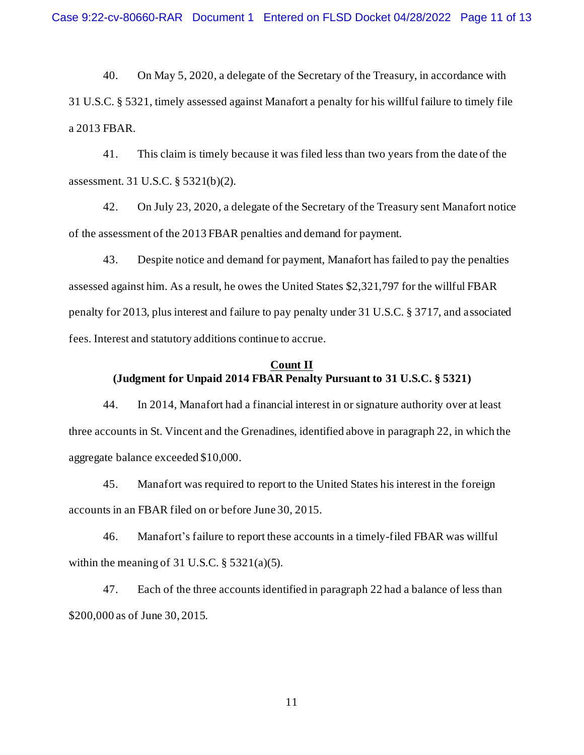40. On May 5, 2020, a delegate of the Secretary of the Treasury, in accordance with 31 U.S.C. § 5321, timely assessed against Manafort a penalty for his willful failure to timely file a 2013 FBAR.

41. This claim is timely because it was filed less than two years from the date of the assessment. 31 U.S.C. § 5321(b)(2).

42. On July 23, 2020, a delegate of the Secretary of the Treasury sent Manafort notice of the assessment of the 2013 FBAR penalties and demand for payment.

43. Despite notice and demand for payment, Manafort has failed to pay the penalties assessed against him. As a result, he owes the United States \$2,321,797 for the willful FBAR penalty for 2013, plus interest and failure to pay penalty under 31 U.S.C. § 3717, and associated fees. Interest and statutory additions continue to accrue.

# **Count II (Judgment for Unpaid 2014 FBAR Penalty Pursuant to 31 U.S.C. § 5321)**

44. In 2014, Manafort had a financial interest in or signature authority over at least three accounts in St. Vincent and the Grenadines, identified above in paragraph 22, in which the aggregate balance exceeded \$10,000.

45. Manafort was required to report to the United States his interest in the foreign accounts in an FBAR filed on or before June 30, 2015.

46. Manafort's failure to report these accounts in a timely-filed FBAR was willful within the meaning of 31 U.S.C.  $\S$  5321(a)(5).

47. Each of the three accounts identified in paragraph 22 had a balance of less than \$200,000 as of June 30, 2015.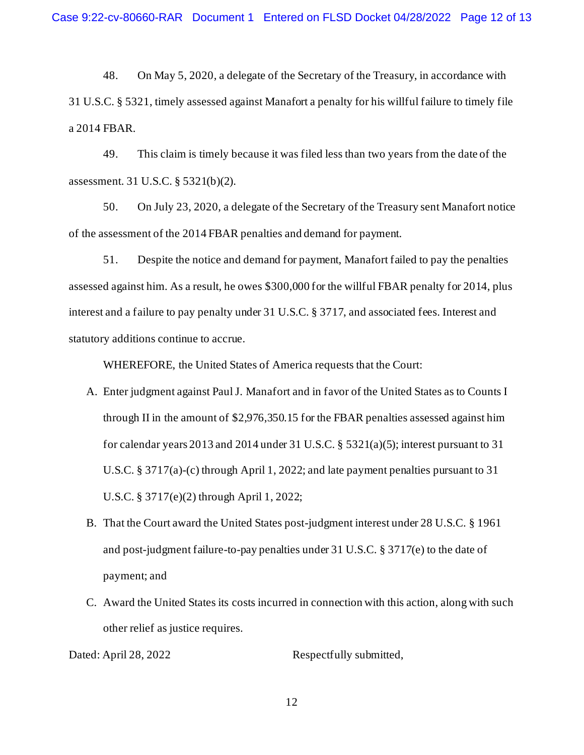48. On May 5, 2020, a delegate of the Secretary of the Treasury, in accordance with 31 U.S.C. § 5321, timely assessed against Manafort a penalty for his willful failure to timely file a 2014 FBAR.

49. This claim is timely because it was filed less than two years from the date of the assessment. 31 U.S.C. § 5321(b)(2).

50. On July 23, 2020, a delegate of the Secretary of the Treasury sent Manafort notice of the assessment of the 2014 FBAR penalties and demand for payment.

51. Despite the notice and demand for payment, Manafort failed to pay the penalties assessed against him. As a result, he owes \$300,000 for the willful FBAR penalty for 2014, plus interest and a failure to pay penalty under 31 U.S.C. § 3717, and associated fees. Interest and statutory additions continue to accrue.

WHEREFORE, the United States of America requests that the Court:

- A. Enter judgment against Paul J. Manafort and in favor of the United States as to Counts I through II in the amount of \$2,976,350.15 for the FBAR penalties assessed against him for calendar years 2013 and 2014 under 31 U.S.C.  $\S$  5321(a)(5); interest pursuant to 31 U.S.C. § 3717(a)-(c) through April 1, 2022; and late payment penalties pursuant to 31 U.S.C. § 3717(e)(2) through April 1, 2022;
- B. That the Court award the United States post-judgment interest under 28 U.S.C. § 1961 and post-judgment failure-to-pay penalties under 31 U.S.C. § 3717(e) to the date of payment; and
- C. Award the United States its costs incurred in connection with this action, along with such other relief as justice requires.

Dated: April 28, 2022 Respectfully submitted,